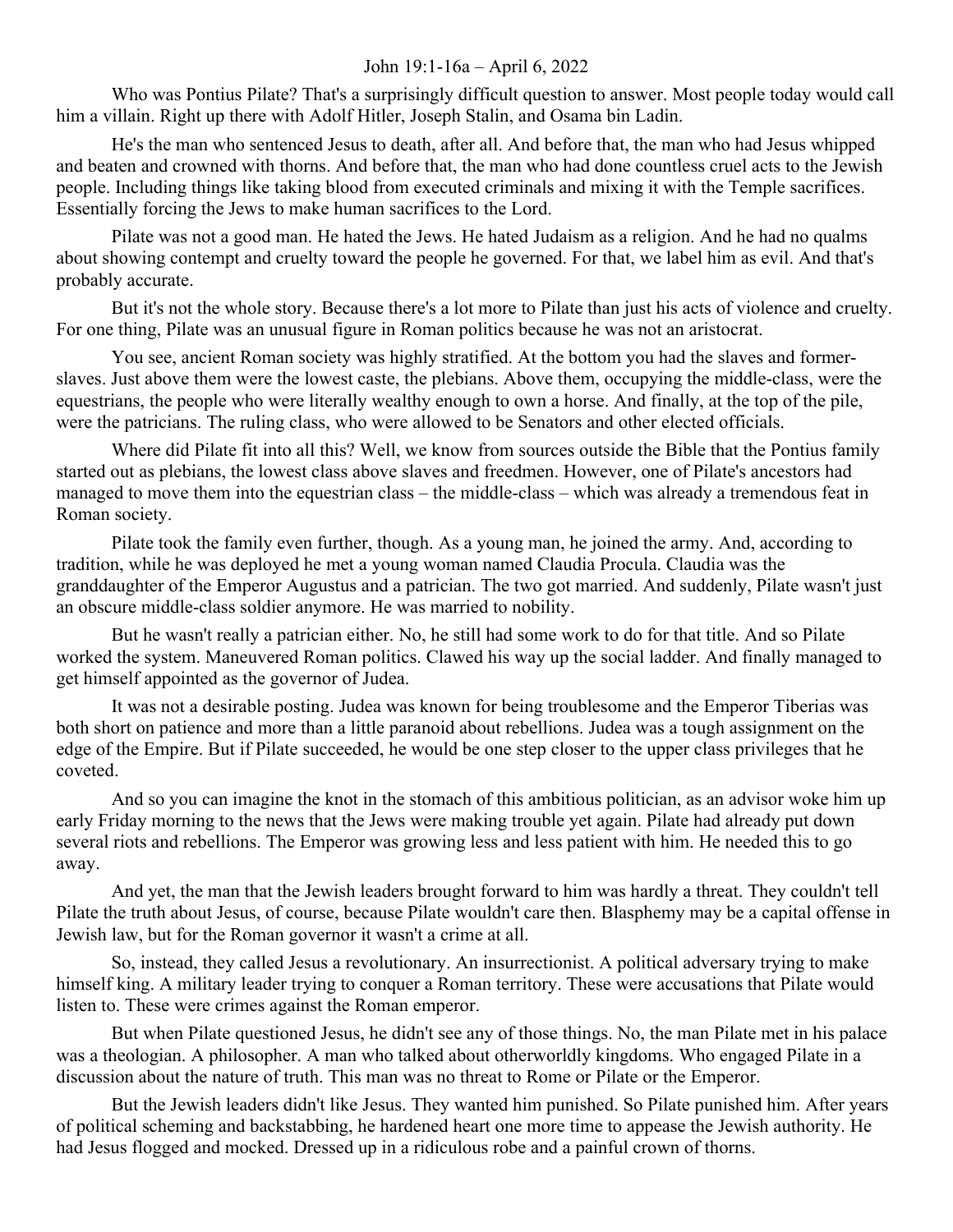## John 19:1-16a – April 6, 2022

Who was Pontius Pilate? That's a surprisingly difficult question to answer. Most people today would call him a villain. Right up there with Adolf Hitler, Joseph Stalin, and Osama bin Ladin.

He's the man who sentenced Jesus to death, after all. And before that, the man who had Jesus whipped and beaten and crowned with thorns. And before that, the man who had done countless cruel acts to the Jewish people. Including things like taking blood from executed criminals and mixing it with the Temple sacrifices. Essentially forcing the Jews to make human sacrifices to the Lord.

Pilate was not a good man. He hated the Jews. He hated Judaism as a religion. And he had no qualms about showing contempt and cruelty toward the people he governed. For that, we label him as evil. And that's probably accurate.

But it's not the whole story. Because there's a lot more to Pilate than just his acts of violence and cruelty. For one thing, Pilate was an unusual figure in Roman politics because he was not an aristocrat.

You see, ancient Roman society was highly stratified. At the bottom you had the slaves and formerslaves. Just above them were the lowest caste, the plebians. Above them, occupying the middle-class, were the equestrians, the people who were literally wealthy enough to own a horse. And finally, at the top of the pile, were the patricians. The ruling class, who were allowed to be Senators and other elected officials.

Where did Pilate fit into all this? Well, we know from sources outside the Bible that the Pontius family started out as plebians, the lowest class above slaves and freedmen. However, one of Pilate's ancestors had managed to move them into the equestrian class – the middle-class – which was already a tremendous feat in Roman society.

Pilate took the family even further, though. As a young man, he joined the army. And, according to tradition, while he was deployed he met a young woman named Claudia Procula. Claudia was the granddaughter of the Emperor Augustus and a patrician. The two got married. And suddenly, Pilate wasn't just an obscure middle-class soldier anymore. He was married to nobility.

But he wasn't really a patrician either. No, he still had some work to do for that title. And so Pilate worked the system. Maneuvered Roman politics. Clawed his way up the social ladder. And finally managed to get himself appointed as the governor of Judea.

It was not a desirable posting. Judea was known for being troublesome and the Emperor Tiberias was both short on patience and more than a little paranoid about rebellions. Judea was a tough assignment on the edge of the Empire. But if Pilate succeeded, he would be one step closer to the upper class privileges that he coveted.

And so you can imagine the knot in the stomach of this ambitious politician, as an advisor woke him up early Friday morning to the news that the Jews were making trouble yet again. Pilate had already put down several riots and rebellions. The Emperor was growing less and less patient with him. He needed this to go away.

And yet, the man that the Jewish leaders brought forward to him was hardly a threat. They couldn't tell Pilate the truth about Jesus, of course, because Pilate wouldn't care then. Blasphemy may be a capital offense in Jewish law, but for the Roman governor it wasn't a crime at all.

So, instead, they called Jesus a revolutionary. An insurrectionist. A political adversary trying to make himself king. A military leader trying to conquer a Roman territory. These were accusations that Pilate would listen to. These were crimes against the Roman emperor.

But when Pilate questioned Jesus, he didn't see any of those things. No, the man Pilate met in his palace was a theologian. A philosopher. A man who talked about otherworldly kingdoms. Who engaged Pilate in a discussion about the nature of truth. This man was no threat to Rome or Pilate or the Emperor.

But the Jewish leaders didn't like Jesus. They wanted him punished. So Pilate punished him. After years of political scheming and backstabbing, he hardened heart one more time to appease the Jewish authority. He had Jesus flogged and mocked. Dressed up in a ridiculous robe and a painful crown of thorns.